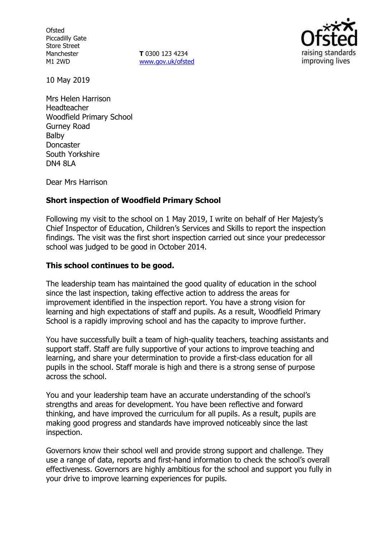**Ofsted** Piccadilly Gate Store Street Manchester M1 2WD

**T** 0300 123 4234 www.gov.uk/ofsted



10 May 2019

Mrs Helen Harrison Headteacher Woodfield Primary School Gurney Road Balby Doncaster South Yorkshire DN4 8LA

Dear Mrs Harrison

### **Short inspection of Woodfield Primary School**

Following my visit to the school on 1 May 2019, I write on behalf of Her Majesty's Chief Inspector of Education, Children's Services and Skills to report the inspection findings. The visit was the first short inspection carried out since your predecessor school was judged to be good in October 2014.

#### **This school continues to be good.**

The leadership team has maintained the good quality of education in the school since the last inspection, taking effective action to address the areas for improvement identified in the inspection report. You have a strong vision for learning and high expectations of staff and pupils. As a result, Woodfield Primary School is a rapidly improving school and has the capacity to improve further.

You have successfully built a team of high-quality teachers, teaching assistants and support staff. Staff are fully supportive of your actions to improve teaching and learning, and share your determination to provide a first-class education for all pupils in the school. Staff morale is high and there is a strong sense of purpose across the school.

You and your leadership team have an accurate understanding of the school's strengths and areas for development. You have been reflective and forward thinking, and have improved the curriculum for all pupils. As a result, pupils are making good progress and standards have improved noticeably since the last inspection.

Governors know their school well and provide strong support and challenge. They use a range of data, reports and first-hand information to check the school's overall effectiveness. Governors are highly ambitious for the school and support you fully in your drive to improve learning experiences for pupils.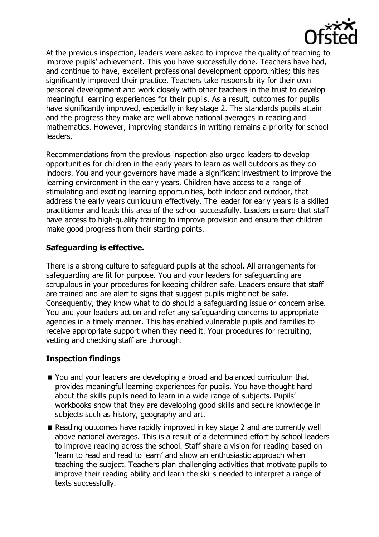

At the previous inspection, leaders were asked to improve the quality of teaching to improve pupils' achievement. This you have successfully done. Teachers have had, and continue to have, excellent professional development opportunities; this has significantly improved their practice. Teachers take responsibility for their own personal development and work closely with other teachers in the trust to develop meaningful learning experiences for their pupils. As a result, outcomes for pupils have significantly improved, especially in key stage 2. The standards pupils attain and the progress they make are well above national averages in reading and mathematics. However, improving standards in writing remains a priority for school leaders.

Recommendations from the previous inspection also urged leaders to develop opportunities for children in the early years to learn as well outdoors as they do indoors. You and your governors have made a significant investment to improve the learning environment in the early years. Children have access to a range of stimulating and exciting learning opportunities, both indoor and outdoor, that address the early years curriculum effectively. The leader for early years is a skilled practitioner and leads this area of the school successfully. Leaders ensure that staff have access to high-quality training to improve provision and ensure that children make good progress from their starting points.

# **Safeguarding is effective.**

There is a strong culture to safeguard pupils at the school. All arrangements for safeguarding are fit for purpose. You and your leaders for safeguarding are scrupulous in your procedures for keeping children safe. Leaders ensure that staff are trained and are alert to signs that suggest pupils might not be safe. Consequently, they know what to do should a safeguarding issue or concern arise. You and your leaders act on and refer any safeguarding concerns to appropriate agencies in a timely manner. This has enabled vulnerable pupils and families to receive appropriate support when they need it. Your procedures for recruiting, vetting and checking staff are thorough.

# **Inspection findings**

- You and your leaders are developing a broad and balanced curriculum that provides meaningful learning experiences for pupils. You have thought hard about the skills pupils need to learn in a wide range of subjects. Pupils' workbooks show that they are developing good skills and secure knowledge in subjects such as history, geography and art.
- Reading outcomes have rapidly improved in key stage 2 and are currently well above national averages. This is a result of a determined effort by school leaders to improve reading across the school. Staff share a vision for reading based on 'learn to read and read to learn' and show an enthusiastic approach when teaching the subject. Teachers plan challenging activities that motivate pupils to improve their reading ability and learn the skills needed to interpret a range of texts successfully.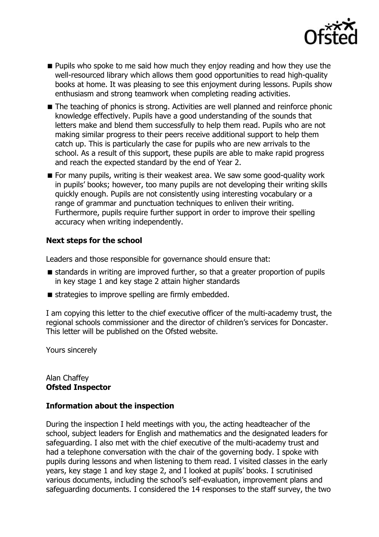

- **Pupils who spoke to me said how much they enjoy reading and how they use the** well-resourced library which allows them good opportunities to read high-quality books at home. It was pleasing to see this enjoyment during lessons. Pupils show enthusiasm and strong teamwork when completing reading activities.
- The teaching of phonics is strong. Activities are well planned and reinforce phonic knowledge effectively. Pupils have a good understanding of the sounds that letters make and blend them successfully to help them read. Pupils who are not making similar progress to their peers receive additional support to help them catch up. This is particularly the case for pupils who are new arrivals to the school. As a result of this support, these pupils are able to make rapid progress and reach the expected standard by the end of Year 2.
- For many pupils, writing is their weakest area. We saw some good-quality work in pupils' books; however, too many pupils are not developing their writing skills quickly enough. Pupils are not consistently using interesting vocabulary or a range of grammar and punctuation techniques to enliven their writing. Furthermore, pupils require further support in order to improve their spelling accuracy when writing independently.

## **Next steps for the school**

Leaders and those responsible for governance should ensure that:

- standards in writing are improved further, so that a greater proportion of pupils in key stage 1 and key stage 2 attain higher standards
- $\blacksquare$  strategies to improve spelling are firmly embedded.

I am copying this letter to the chief executive officer of the multi-academy trust, the regional schools commissioner and the director of children's services for Doncaster. This letter will be published on the Ofsted website.

Yours sincerely

#### Alan Chaffey **Ofsted Inspector**

### **Information about the inspection**

During the inspection I held meetings with you, the acting headteacher of the school, subject leaders for English and mathematics and the designated leaders for safeguarding. I also met with the chief executive of the multi-academy trust and had a telephone conversation with the chair of the governing body. I spoke with pupils during lessons and when listening to them read. I visited classes in the early years, key stage 1 and key stage 2, and I looked at pupils' books. I scrutinised various documents, including the school's self-evaluation, improvement plans and safeguarding documents. I considered the 14 responses to the staff survey, the two